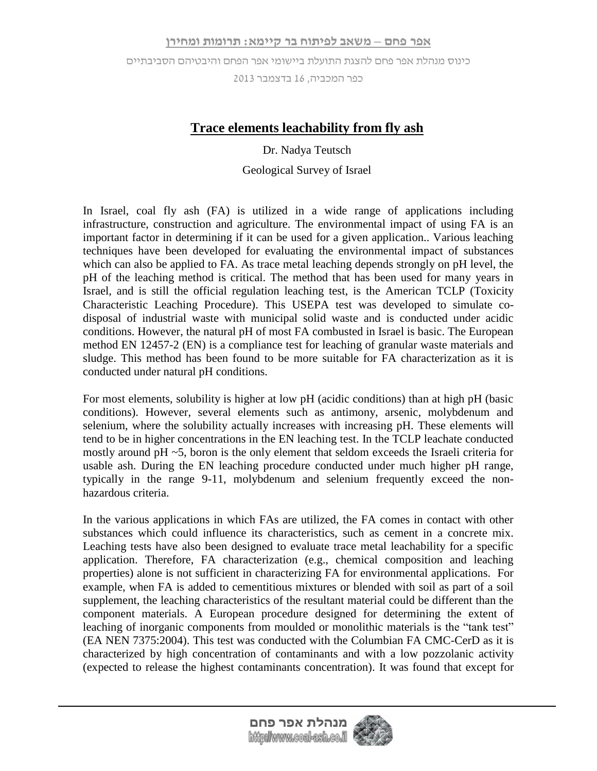כינוס מנהלת אפר פחם להצגת התועלת ביישומי אפר הפחם והיבטיהם הסביבתיים

כפר המכביה, 61 בדצמבר 3162

## **Trace elements leachability from fly ash**

Dr. Nadya Teutsch

## Geological Survey of Israel

In Israel, coal fly ash (FA) is utilized in a wide range of applications including infrastructure, construction and agriculture. The environmental impact of using FA is an important factor in determining if it can be used for a given application.. Various leaching techniques have been developed for evaluating the environmental impact of substances which can also be applied to FA. As trace metal leaching depends strongly on pH level, the pH of the leaching method is critical. The method that has been used for many years in Israel, and is still the official regulation leaching test, is the American TCLP (Toxicity Characteristic Leaching Procedure). This USEPA test was developed to simulate codisposal of industrial waste with municipal solid waste and is conducted under acidic conditions. However, the natural pH of most FA combusted in Israel is basic. The European method EN 12457-2 (EN) is a compliance test for leaching of granular waste materials and sludge. This method has been found to be more suitable for FA characterization as it is conducted under natural pH conditions.

For most elements, solubility is higher at low pH (acidic conditions) than at high pH (basic conditions). However, several elements such as antimony, arsenic, molybdenum and selenium, where the solubility actually increases with increasing pH. These elements will tend to be in higher concentrations in the EN leaching test. In the TCLP leachate conducted mostly around pH ~5, boron is the only element that seldom exceeds the Israeli criteria for usable ash. During the EN leaching procedure conducted under much higher pH range, typically in the range 9-11, molybdenum and selenium frequently exceed the nonhazardous criteria.

In the various applications in which FAs are utilized, the FA comes in contact with other substances which could influence its characteristics, such as cement in a concrete mix. Leaching tests have also been designed to evaluate trace metal leachability for a specific application. Therefore, FA characterization (e.g., chemical composition and leaching properties) alone is not sufficient in characterizing FA for environmental applications. For example, when FA is added to cementitious mixtures or blended with soil as part of a soil supplement, the leaching characteristics of the resultant material could be different than the component materials. A European procedure designed for determining the extent of leaching of inorganic components from moulded or monolithic materials is the "tank test" (EA NEN 7375:2004). This test was conducted with the Columbian FA CMC-CerD as it is characterized by high concentration of contaminants and with a low pozzolanic activity (expected to release the highest contaminants concentration). It was found that except for